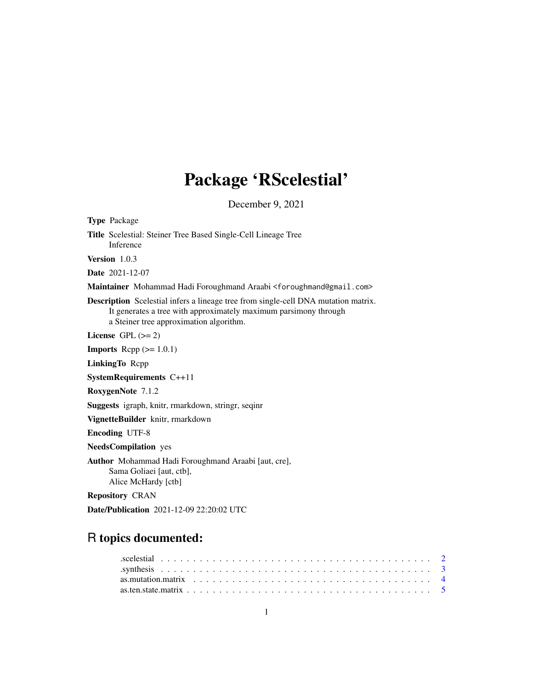## Package 'RScelestial'

December 9, 2021

Type Package Title Scelestial: Steiner Tree Based Single-Cell Lineage Tree Inference Version 1.0.3 Date 2021-12-07 Maintainer Mohammad Hadi Foroughmand Araabi <foroughmand@gmail.com> Description Scelestial infers a lineage tree from single-cell DNA mutation matrix. It generates a tree with approximately maximum parsimony through a Steiner tree approximation algorithm. License GPL  $(>= 2)$ **Imports** Rcpp  $(>= 1.0.1)$ LinkingTo Rcpp SystemRequirements C++11 RoxygenNote 7.1.2 Suggests igraph, knitr, rmarkdown, stringr, seqinr VignetteBuilder knitr, rmarkdown Encoding UTF-8 NeedsCompilation yes Author Mohammad Hadi Foroughmand Araabi [aut, cre], Sama Goliaei [aut, ctb], Alice McHardy [ctb] Repository CRAN Date/Publication 2021-12-09 22:20:02 UTC

### R topics documented: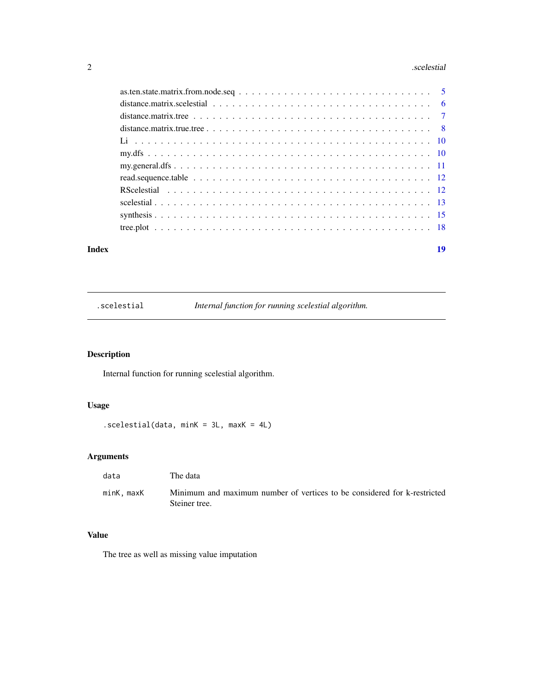#### <span id="page-1-0"></span>2 **2** scelestial and  $\alpha$  is the set of  $\alpha$  is the set of  $\alpha$  is the set of  $\alpha$  is the set of  $\alpha$  is the set of  $\alpha$  is the set of  $\alpha$  is the set of  $\alpha$  is the set of  $\alpha$  is the set of  $\alpha$  is the set of  $\alpha$  is the

| distance matrix true tree $\ldots$ $\ldots$ $\ldots$ $\ldots$ $\ldots$ $\ldots$ $\ldots$ $\ldots$ $\ldots$ $\ldots$ $\ldots$ $\ldots$ $\ldots$ $\ldots$ $\ldots$ |  |
|------------------------------------------------------------------------------------------------------------------------------------------------------------------|--|
|                                                                                                                                                                  |  |
|                                                                                                                                                                  |  |
|                                                                                                                                                                  |  |
|                                                                                                                                                                  |  |
|                                                                                                                                                                  |  |
|                                                                                                                                                                  |  |
|                                                                                                                                                                  |  |
|                                                                                                                                                                  |  |
|                                                                                                                                                                  |  |
|                                                                                                                                                                  |  |

#### **Index** 2008 **Index** 2008 **Index**

.scelestial *Internal function for running scelestial algorithm.*

### Description

Internal function for running scelestial algorithm.

#### Usage

.scelestial(data, minK = 3L, maxK = 4L)

#### Arguments

| data      | The data                                                                                  |
|-----------|-------------------------------------------------------------------------------------------|
| minK.maxK | Minimum and maximum number of vertices to be considered for k-restricted<br>Steiner tree. |

#### Value

The tree as well as missing value imputation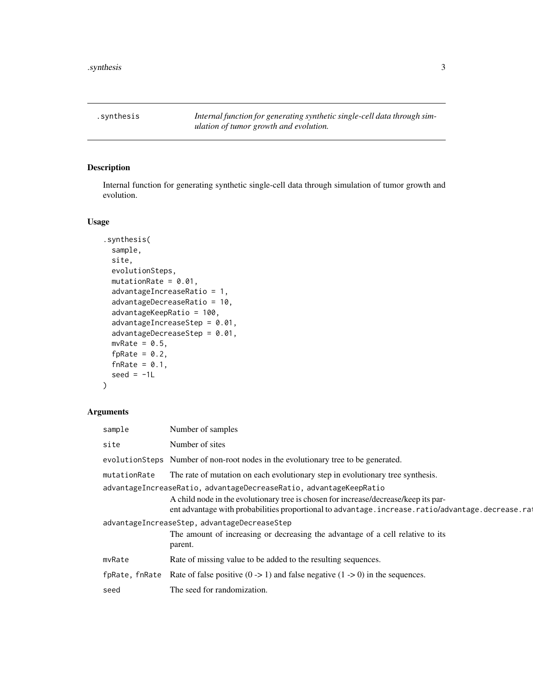<span id="page-2-0"></span>.synthesis *Internal function for generating synthetic single-cell data through simulation of tumor growth and evolution.*

#### Description

Internal function for generating synthetic single-cell data through simulation of tumor growth and evolution.

#### Usage

```
.synthesis(
 sample,
 site,
 evolutionSteps,
 mutationRate = 0.01,
 advantageIncreaseRatio = 1,
  advantageDecreaseRatio = 10,
  advantageKeepRatio = 100,
  advantageIncreaseStep = 0.01,
  advantageDecreaseStep = 0.01,
 mvRate = 0.5,
  fpRate = 0.2,
  fnRate = 0.1,
  seed = -1L)
```

| sample                                                                                                                                                                                                                                                       | Number of samples                                                                                                                         |
|--------------------------------------------------------------------------------------------------------------------------------------------------------------------------------------------------------------------------------------------------------------|-------------------------------------------------------------------------------------------------------------------------------------------|
| site                                                                                                                                                                                                                                                         | Number of sites                                                                                                                           |
|                                                                                                                                                                                                                                                              | evolution Steps Number of non-root nodes in the evolutionary tree to be generated.                                                        |
| mutationRate                                                                                                                                                                                                                                                 | The rate of mutation on each evolutionary step in evolutionary tree synthesis.                                                            |
| advantageIncreaseRatio, advantageDecreaseRatio, advantageKeepRatio<br>A child node in the evolutionary tree is chosen for increase/decrease/keep its par-<br>ent advantage with probabilities proportional to advantage.increase.ratio/advantage.decrease.ra |                                                                                                                                           |
|                                                                                                                                                                                                                                                              | advantageIncreaseStep, advantageDecreaseStep<br>The amount of increasing or decreasing the advantage of a cell relative to its<br>parent. |
| mvRate                                                                                                                                                                                                                                                       | Rate of missing value to be added to the resulting sequences.                                                                             |
| fpRate, fnRate                                                                                                                                                                                                                                               | Rate of false positive $(0 \rightarrow 1)$ and false negative $(1 \rightarrow 0)$ in the sequences.                                       |
| seed                                                                                                                                                                                                                                                         | The seed for randomization.                                                                                                               |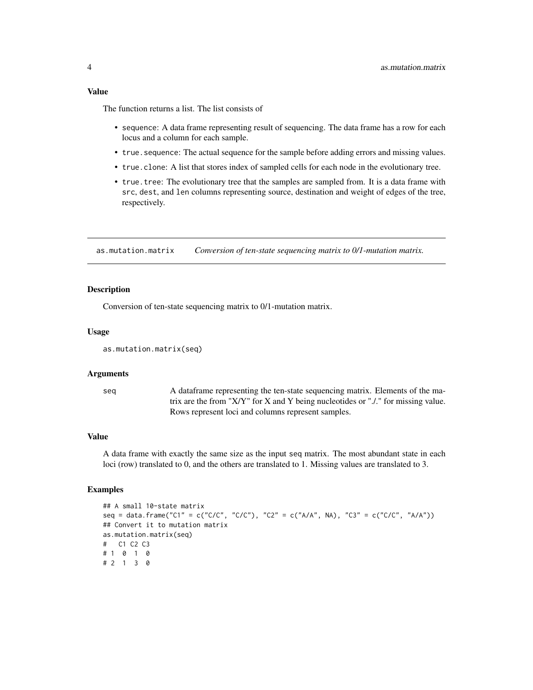#### <span id="page-3-0"></span>Value

The function returns a list. The list consists of

- sequence: A data frame representing result of sequencing. The data frame has a row for each locus and a column for each sample.
- true.sequence: The actual sequence for the sample before adding errors and missing values.
- true.clone: A list that stores index of sampled cells for each node in the evolutionary tree.
- true.tree: The evolutionary tree that the samples are sampled from. It is a data frame with src, dest, and len columns representing source, destination and weight of edges of the tree, respectively.

as.mutation.matrix *Conversion of ten-state sequencing matrix to 0/1-mutation matrix.*

#### **Description**

Conversion of ten-state sequencing matrix to 0/1-mutation matrix.

#### Usage

```
as.mutation.matrix(seq)
```
#### Arguments

seq A dataframe representing the ten-state sequencing matrix. Elements of the matrix are the from "X/Y" for X and Y being nucleotides or "./." for missing value. Rows represent loci and columns represent samples.

#### Value

A data frame with exactly the same size as the input seq matrix. The most abundant state in each loci (row) translated to 0, and the others are translated to 1. Missing values are translated to 3.

#### Examples

```
## A small 10-state matrix
seq = data.frame("C1" = c("C/C", "C/C"), "C2" = c("A/A", NA), "C3" = c("C/C", "A/A"))
## Convert it to mutation matrix
as.mutation.matrix(seq)
# C1 C2 C3
# 1 0 1 0
# 2 1 3 0
```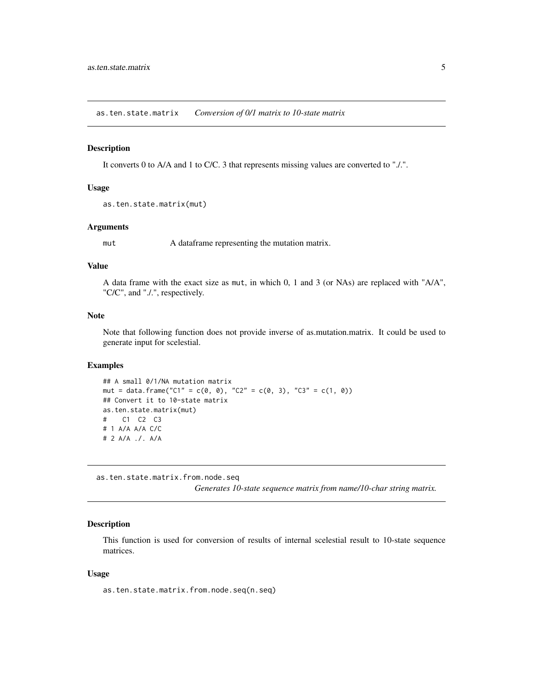<span id="page-4-0"></span>as.ten.state.matrix *Conversion of 0/1 matrix to 10-state matrix*

#### Description

It converts 0 to A/A and 1 to C/C. 3 that represents missing values are converted to "./.".

#### Usage

```
as.ten.state.matrix(mut)
```
#### Arguments

mut A dataframe representing the mutation matrix.

#### Value

A data frame with the exact size as mut, in which 0, 1 and 3 (or NAs) are replaced with "A/A", "C/C", and "./.", respectively.

#### Note

Note that following function does not provide inverse of as.mutation.matrix. It could be used to generate input for scelestial.

#### Examples

```
## A small 0/1/NA mutation matrix
mut = data.frame("C1" = c(0, 0), "C2" = c(0, 3), "C3" = c(1, 0))
## Convert it to 10-state matrix
as.ten.state.matrix(mut)
# C1 C2 C3
# 1 A/A A/A C/C
# 2 A/A ./. A/A
```
as.ten.state.matrix.from.node.seq

*Generates 10-state sequence matrix from name/10-char string matrix.*

#### Description

This function is used for conversion of results of internal scelestial result to 10-state sequence matrices.

#### Usage

as.ten.state.matrix.from.node.seq(n.seq)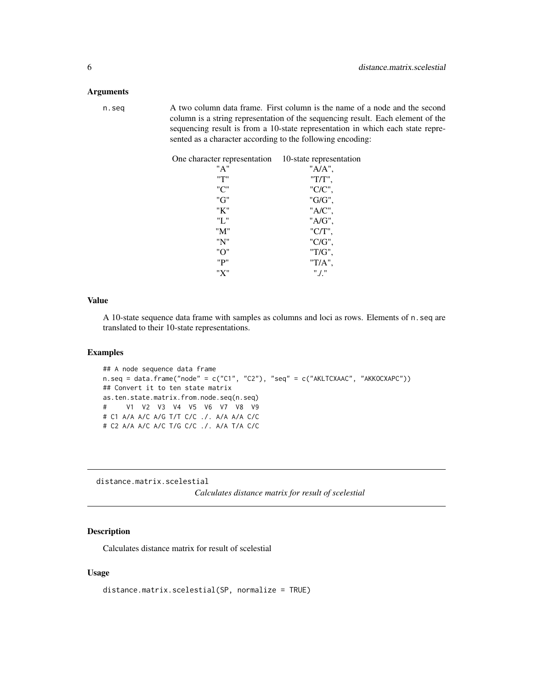#### <span id="page-5-0"></span>**Arguments**

n.seq A two column data frame. First column is the name of a node and the second column is a string representation of the sequencing result. Each element of the sequencing result is from a 10-state representation in which each state represented as a character according to the following encoding:

| One character representation | 10-state representation |
|------------------------------|-------------------------|
| "A"                          | "A/A",                  |
| ייד"                         | "T/T",                  |
| "C"                          | "C/C",                  |
| "G"                          | "G/G",                  |
| "K"                          | "A/C",                  |
| "L"                          | "A/G",                  |
| "M"                          | $"C/T"$ ,               |
| "N"                          | "C/G",                  |
| "O"                          | "T/G",                  |
| "P"                          | $T/A$ ",                |
| "X"                          | $"$ ./."                |

#### Value

A 10-state sequence data frame with samples as columns and loci as rows. Elements of n.seq are translated to their 10-state representations.

#### Examples

```
## A node sequence data frame
n.seq = data.frame("node" = c("C1", "C2"), "seq" = c("AKLTCXAAC", "AKKOCXAPC"))
## Convert it to ten state matrix
as.ten.state.matrix.from.node.seq(n.seq)
# V1 V2 V3 V4 V5 V6 V7 V8 V9
# C1 A/A A/C A/G T/T C/C ./. A/A A/A C/C
# C2 A/A A/C A/C T/G C/C ./. A/A T/A C/C
```
distance.matrix.scelestial

*Calculates distance matrix for result of scelestial*

#### Description

Calculates distance matrix for result of scelestial

#### Usage

```
distance.matrix.scelestial(SP, normalize = TRUE)
```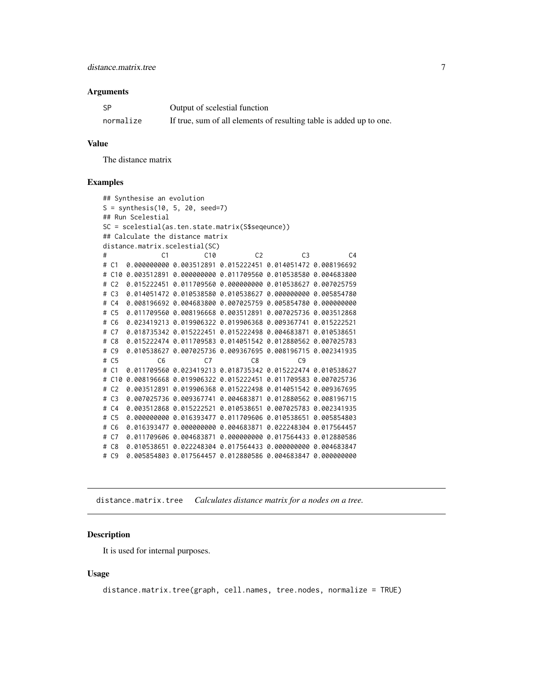#### <span id="page-6-0"></span>Arguments

| -SP       | Output of scelestial function                                       |
|-----------|---------------------------------------------------------------------|
| normalize | If true, sum of all elements of resulting table is added up to one. |

#### Value

The distance matrix

#### Examples

```
## Synthesise an evolution
S = synthesis(10, 5, 20, seed=7)
## Run Scelestial
SC = scelestial(as.ten.state.matrix(S$seqeunce))
## Calculate the distance matrix
distance.matrix.scelestial(SC)
# C1 C10 C2 C3 C4
# C1 0.000000000 0.003512891 0.015222451 0.014051472 0.008196692
# C10 0.003512891 0.000000000 0.011709560 0.010538580 0.004683800
# C2 0.015222451 0.011709560 0.000000000 0.010538627 0.007025759
# C3 0.014051472 0.010538580 0.010538627 0.000000000 0.005854780
# C4 0.008196692 0.004683800 0.007025759 0.005854780 0.000000000
# C5 0.011709560 0.008196668 0.003512891 0.007025736 0.003512868
# C6 0.023419213 0.019906322 0.019906368 0.009367741 0.015222521
# C7 0.018735342 0.015222451 0.015222498 0.004683871 0.010538651
# C8 0.015222474 0.011709583 0.014051542 0.012880562 0.007025783
# C9 0.010538627 0.007025736 0.009367695 0.008196715 0.002341935
# C5 C6 C7 C8 C9
# C1 0.011709560 0.023419213 0.018735342 0.015222474 0.010538627
# C10 0.008196668 0.019906322 0.015222451 0.011709583 0.007025736
# C2 0.003512891 0.019906368 0.015222498 0.014051542 0.009367695
# C3 0.007025736 0.009367741 0.004683871 0.012880562 0.008196715
# C4 0.003512868 0.015222521 0.010538651 0.007025783 0.002341935
# C5 0.000000000 0.016393477 0.011709606 0.010538651 0.005854803
# C6 0.016393477 0.000000000 0.004683871 0.022248304 0.017564457
# C7 0.011709606 0.004683871 0.000000000 0.017564433 0.012880586
# C8 0.010538651 0.022248304 0.017564433 0.000000000 0.004683847
# C9 0.005854803 0.017564457 0.012880586 0.004683847 0.000000000
```
distance.matrix.tree *Calculates distance matrix for a nodes on a tree.*

#### **Description**

It is used for internal purposes.

#### Usage

distance.matrix.tree(graph, cell.names, tree.nodes, normalize = TRUE)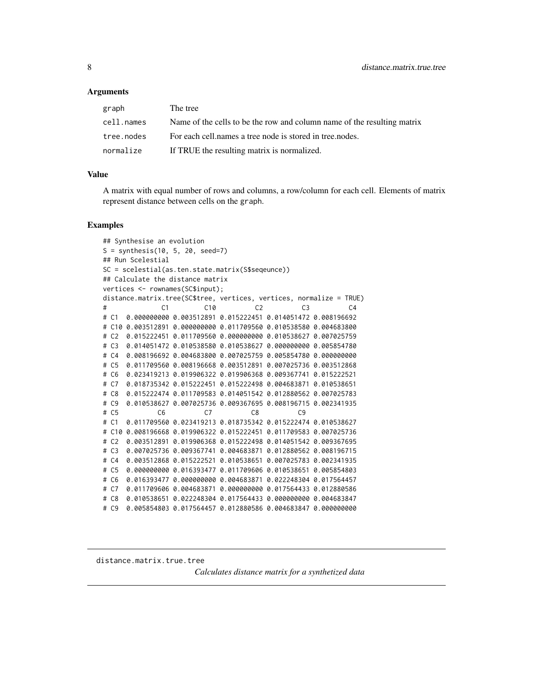#### <span id="page-7-0"></span>Arguments

| graph      | The tree                                                                |
|------------|-------------------------------------------------------------------------|
| cell.names | Name of the cells to be the row and column name of the resulting matrix |
| tree.nodes | For each cell, names a tree node is stored in tree, nodes.              |
| normalize  | If TRUE the resulting matrix is normalized.                             |

#### Value

A matrix with equal number of rows and columns, a row/column for each cell. Elements of matrix represent distance between cells on the graph.

#### Examples

```
## Synthesise an evolution
S = synthesis(10, 5, 20, seed=7)
## Run Scelestial
SC = scelestial(as.ten.state.matrix(S$seqeunce))
## Calculate the distance matrix
vertices <- rownames(SC$input);
distance.matrix.tree(SC$tree, vertices, vertices, normalize = TRUE)
# C1 C10 C2 C3 C4
# C1 0.000000000 0.003512891 0.015222451 0.014051472 0.008196692
# C10 0.003512891 0.000000000 0.011709560 0.010538580 0.004683800
# C2 0.015222451 0.011709560 0.000000000 0.010538627 0.007025759
# C3 0.014051472 0.010538580 0.010538627 0.000000000 0.005854780
# C4 0.008196692 0.004683800 0.007025759 0.005854780 0.000000000
# C5 0.011709560 0.008196668 0.003512891 0.007025736 0.003512868
# C6 0.023419213 0.019906322 0.019906368 0.009367741 0.015222521
# C7 0.018735342 0.015222451 0.015222498 0.004683871 0.010538651
# C8 0.015222474 0.011709583 0.014051542 0.012880562 0.007025783
# C9 0.010538627 0.007025736 0.009367695 0.008196715 0.002341935
# C5 C6 C7 C8 C9
# C1 0.011709560 0.023419213 0.018735342 0.015222474 0.010538627
# C10 0.008196668 0.019906322 0.015222451 0.011709583 0.007025736
# C2 0.003512891 0.019906368 0.015222498 0.014051542 0.009367695
# C3 0.007025736 0.009367741 0.004683871 0.012880562 0.008196715
# C4 0.003512868 0.015222521 0.010538651 0.007025783 0.002341935
# C5 0.000000000 0.016393477 0.011709606 0.010538651 0.005854803
# C6 0.016393477 0.000000000 0.004683871 0.022248304 0.017564457
# C7 0.011709606 0.004683871 0.000000000 0.017564433 0.012880586
# C8 0.010538651 0.022248304 0.017564433 0.000000000 0.004683847
# C9 0.005854803 0.017564457 0.012880586 0.004683847 0.000000000
```
distance.matrix.true.tree

*Calculates distance matrix for a synthetized data*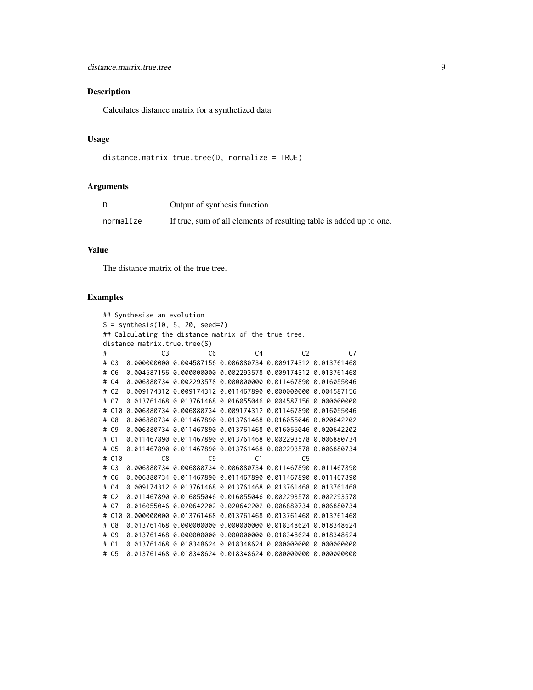#### Description

Calculates distance matrix for a synthetized data

#### Usage

```
distance.matrix.true.tree(D, normalize = TRUE)
```
#### Arguments

|           | Output of synthesis function                                        |
|-----------|---------------------------------------------------------------------|
| normalize | If true, sum of all elements of resulting table is added up to one. |

#### Value

The distance matrix of the true tree.

#### Examples

```
## Synthesise an evolution
S = synthesis(10, 5, 20, seed=7)
## Calculating the distance matrix of the true tree.
distance.matrix.true.tree(S)
# C3 C6 C4 C2 C7
# C3 0.000000000 0.004587156 0.006880734 0.009174312 0.013761468
# C6 0.004587156 0.000000000 0.002293578 0.009174312 0.013761468
# C4 0.006880734 0.002293578 0.000000000 0.011467890 0.016055046
# C2 0.009174312 0.009174312 0.011467890 0.000000000 0.004587156
# C7 0.013761468 0.013761468 0.016055046 0.004587156 0.000000000
# C10 0.006880734 0.006880734 0.009174312 0.011467890 0.016055046
# C8 0.006880734 0.011467890 0.013761468 0.016055046 0.020642202
# C9 0.006880734 0.011467890 0.013761468 0.016055046 0.020642202
# C1 0.011467890 0.011467890 0.013761468 0.002293578 0.006880734
# C5 0.011467890 0.011467890 0.013761468 0.002293578 0.006880734
# C10 C8 C9 C1 C5
# C3 0.006880734 0.006880734 0.006880734 0.011467890 0.011467890
# C6 0.006880734 0.011467890 0.011467890 0.011467890 0.011467890
# C4 0.009174312 0.013761468 0.013761468 0.013761468 0.013761468
# C2 0.011467890 0.016055046 0.016055046 0.002293578 0.002293578
# C7 0.016055046 0.020642202 0.020642202 0.006880734 0.006880734
# C10 0.000000000 0.013761468 0.013761468 0.013761468 0.013761468
# C8 0.013761468 0.000000000 0.000000000 0.018348624 0.018348624
# C9 0.013761468 0.000000000 0.000000000 0.018348624 0.018348624
# C1 0.013761468 0.018348624 0.018348624 0.000000000 0.000000000
# C5 0.013761468 0.018348624 0.018348624 0.000000000 0.000000000
```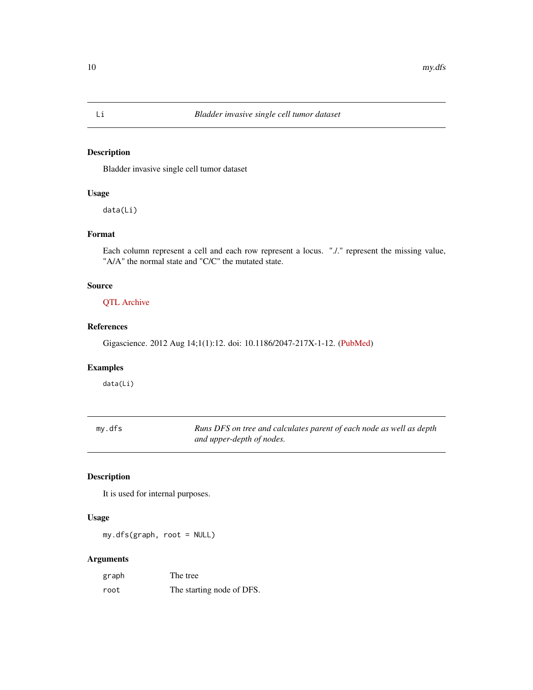#### Description

Bladder invasive single cell tumor dataset

#### Usage

data(Li)

#### Format

Each column represent a cell and each row represent a locus. "./." represent the missing value, "A/A" the normal state and "C/C" the mutated state.

#### Source

[QTL Archive](https://www.ncbi.nlm.nih.gov/pmc/articles/PMC3626503/bin/2047-217X-1-12-S2.xls)

#### References

Gigascience. 2012 Aug 14;1(1):12. doi: 10.1186/2047-217X-1-12. [\(PubMed\)](https://pubmed.ncbi.nlm.nih.gov/23587365/)

#### Examples

data(Li)

| my.dfs | Runs DFS on tree and calculates parent of each node as well as depth |
|--------|----------------------------------------------------------------------|
|        | and upper-depth of nodes.                                            |

#### Description

It is used for internal purposes.

#### Usage

my.dfs(graph, root = NULL)

| graph | The tree                  |
|-------|---------------------------|
| root  | The starting node of DFS. |

<span id="page-9-0"></span>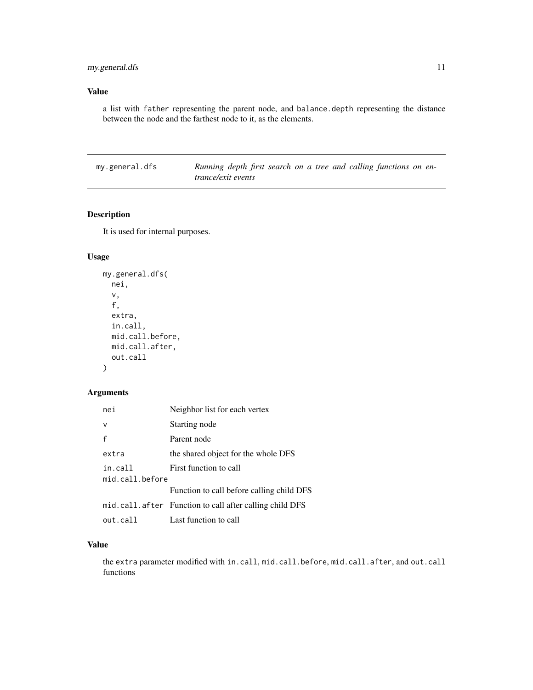#### <span id="page-10-0"></span>Value

a list with father representing the parent node, and balance.depth representing the distance between the node and the farthest node to it, as the elements.

my.general.dfs *Running depth first search on a tree and calling functions on entrance/exit events*

#### Description

It is used for internal purposes.

#### Usage

```
my.general.dfs(
 nei,
  v,
  f,
  extra,
  in.call,
 mid.call.before,
 mid.call.after,
 out.call
)
```
#### Arguments

| nei             | Neighbor list for each vertex                           |
|-----------------|---------------------------------------------------------|
| v               | Starting node                                           |
| f               | Parent node                                             |
| extra           | the shared object for the whole DFS                     |
| in.call         | First function to call                                  |
| mid.call.before |                                                         |
|                 | Function to call before calling child DFS               |
|                 | mid.call.after Function to call after calling child DFS |
| out.call        | Last function to call                                   |

#### Value

the extra parameter modified with in.call, mid.call.before, mid.call.after, and out.call functions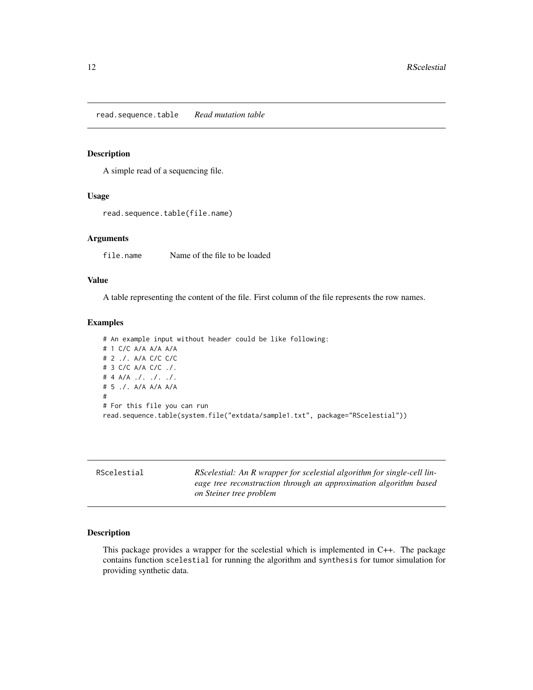<span id="page-11-0"></span>read.sequence.table *Read mutation table*

#### Description

A simple read of a sequencing file.

#### Usage

```
read.sequence.table(file.name)
```
#### Arguments

file.name Name of the file to be loaded

#### Value

A table representing the content of the file. First column of the file represents the row names.

#### Examples

# An example input without header could be like following: # 1 C/C A/A A/A A/A # 2 ./. A/A C/C C/C # 3 C/C A/A C/C ./. # 4 A/A ./. ./. ./. # 5 ./. A/A A/A A/A # # For this file you can run read.sequence.table(system.file("extdata/sample1.txt", package="RScelestial"))

| RScelestial | RScelestial: An R wrapper for scelestial algorithm for single-cell lin- |  |
|-------------|-------------------------------------------------------------------------|--|
|             | eage tree reconstruction through an approximation algorithm based       |  |
|             | on Steiner tree problem                                                 |  |

#### Description

This package provides a wrapper for the scelestial which is implemented in C++. The package contains function scelestial for running the algorithm and synthesis for tumor simulation for providing synthetic data.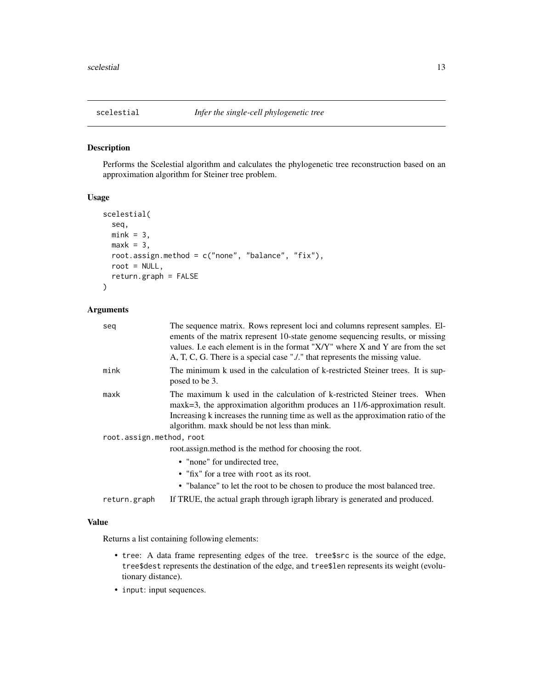<span id="page-12-0"></span>

#### Description

Performs the Scelestial algorithm and calculates the phylogenetic tree reconstruction based on an approximation algorithm for Steiner tree problem.

#### Usage

```
scelestial(
  seq,
  mink = 3,
 maxk = 3,
 root.assign.method = c("none", "balance", "fix"),
  root = NULL,
  return.graph = FALSE
)
```
#### Arguments

| seq                      | The sequence matrix. Rows represent loci and columns represent samples. El-<br>ements of the matrix represent 10-state genome sequencing results, or missing<br>values. Le each element is in the format "X/Y" where X and Y are from the set<br>A, T, C, G. There is a special case "" that represents the missing value. |  |
|--------------------------|----------------------------------------------------------------------------------------------------------------------------------------------------------------------------------------------------------------------------------------------------------------------------------------------------------------------------|--|
| mink                     | The minimum k used in the calculation of k-restricted Steiner trees. It is sup-<br>posed to be 3.                                                                                                                                                                                                                          |  |
| maxk                     | The maximum k used in the calculation of k-restricted Steiner trees. When<br>maxk=3, the approximation algorithm produces an $11/6$ -approximation result.<br>Increasing k increases the running time as well as the approximation ratio of the<br>algorithm. maxk should be not less than mink.                           |  |
| root.assign.method, root |                                                                                                                                                                                                                                                                                                                            |  |
|                          | root.assign.method is the method for choosing the root.                                                                                                                                                                                                                                                                    |  |
|                          | • "none" for undirected tree,                                                                                                                                                                                                                                                                                              |  |
|                          | • "fix" for a tree with root as its root.                                                                                                                                                                                                                                                                                  |  |
|                          | • "balance" to let the root to be chosen to produce the most balanced tree.                                                                                                                                                                                                                                                |  |
| return.graph             | If TRUE, the actual graph through igraph library is generated and produced.                                                                                                                                                                                                                                                |  |

#### Value

Returns a list containing following elements:

- tree: A data frame representing edges of the tree. tree\$src is the source of the edge, tree\$dest represents the destination of the edge, and tree\$len represents its weight (evolutionary distance).
- input: input sequences.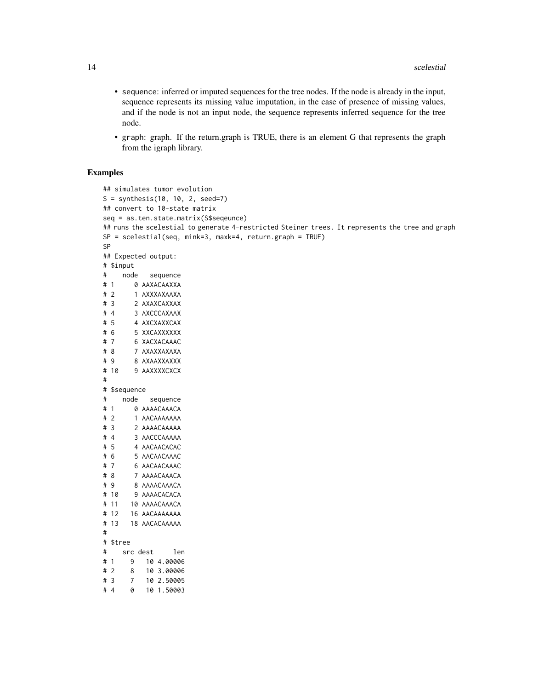- sequence: inferred or imputed sequences for the tree nodes. If the node is already in the input, sequence represents its missing value imputation, in the case of presence of missing values, and if the node is not an input node, the sequence represents inferred sequence for the tree node.
- graph: graph. If the return.graph is TRUE, there is an element G that represents the graph from the igraph library.

#### Examples

# 4 0 10 1.50003

```
## simulates tumor evolution
S = synthesis(10, 10, 2, seed=7)
## convert to 10-state matrix
seq = as.ten.state.matrix(S$seqeunce)
## runs the scelestial to generate 4-restricted Steiner trees. It represents the tree and graph
SP = scelestial(seq, mink=3, maxk=4, return.graph = TRUE)
SP
## Expected output:
# $input
# node sequence
# 1 0 AAXACAAXXA
# 2 1 AXXXAXAAXA
# 3 2 AXAXCAXXAX
# 4 3 AXCCCAXAAX
# 5 4 AXCXAXXCAX
# 6 5 XXCAXXXXXX
# 7 6 XACXACAAAC
# 8 7 AXAXXAXAXA
# 9 8 AXAAXXAXXX
# 10 9 AAXXXXCXCX
#
# $sequence
# node sequence
# 1 0 AAAACAAACA
# 2 1 AACAAAAAAA
# 3 2 AAAACAAAAA
# 4 3 AACCCAAAAA
# 5 4 AACAACACAC
# 6 5 AACAACAAAC
# 7 6 AACAACAAAC
# 8 7 AAAACAAACA
# 9 8 AAAACAAACA
# 10 9 AAAACACACA
# 11 10 AAAACAAACA
# 12 16 AACAAAAAAA
# 13 18 AACACAAAAA
#
# $tree
# src dest len
# 1 9 10 4.00006
# 2 8 10 3.00006
# 3 7 10 2.50005
```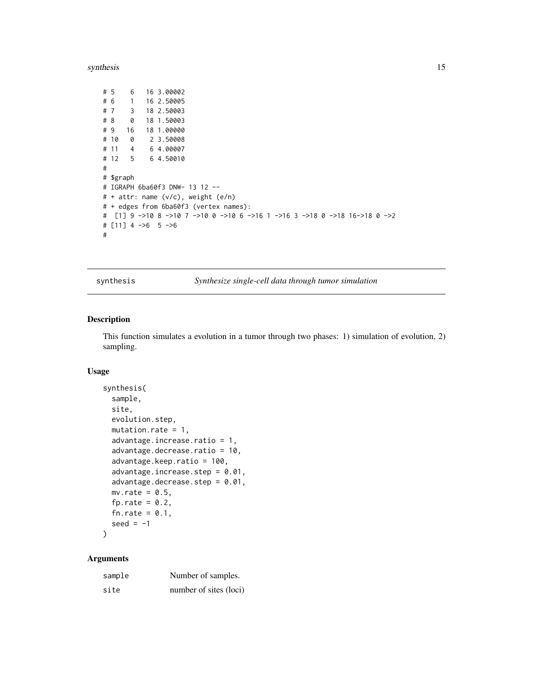#### <span id="page-14-0"></span>synthesis 15

```
# 5 6 16 3.00002
# 6 1 16 2.50005
# 7 3 18 2.50003
# 8 0 18 1.50003
# 9 16 18 1.00000
# 10 0 2 3.50008
# 11 4 6 4.00007
# 12 5 6 4.50010
#
# $graph
# IGRAPH 6ba60f3 DNW- 13 12 --
# + attr: name (v/c), weight (e/n)
# + edges from 6ba60f3 (vertex names):
# [1] 9 ->10 8 ->10 7 ->10 0 ->10 6 ->16 1 ->16 3 ->18 0 ->18 16->18 0 ->2
# [11] 4 ->6 5 ->6
#
```
synthesis *Synthesize single-cell data through tumor simulation*

#### Description

This function simulates a evolution in a tumor through two phases: 1) simulation of evolution, 2) sampling.

#### Usage

```
synthesis(
  sample,
  site,
 evolution.step,
 mutation.rate = 1,
 advantage.increase.ratio = 1,
  advantage.decrease.ratio = 10,
  advantage.keep.ratio = 100,
  advantage.increase.step = 0.01,
  advantage.decrease.step = 0.01,
 mv rate = 0.5,
  fp.rate = 0.2,
  fn.rate = 0.1,
  seed = -1)
```

| sample | Number of samples.     |
|--------|------------------------|
| site   | number of sites (loci) |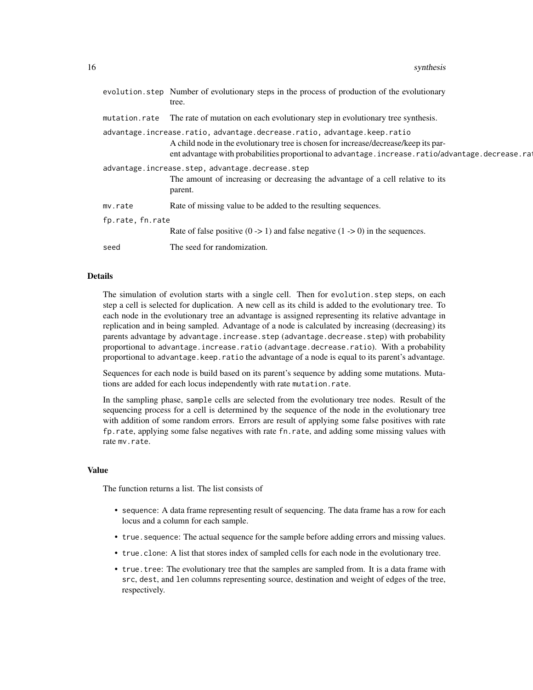|                                                                          | evolution step Number of evolutionary steps in the process of production of the evolutionary<br>tree.                                                                                     |  |
|--------------------------------------------------------------------------|-------------------------------------------------------------------------------------------------------------------------------------------------------------------------------------------|--|
| mutation.rate                                                            | The rate of mutation on each evolutionary step in evolutionary tree synthesis.                                                                                                            |  |
| advantage.increase.ratio, advantage.decrease.ratio, advantage.keep.ratio |                                                                                                                                                                                           |  |
|                                                                          | A child node in the evolutionary tree is chosen for increase/decrease/keep its par-<br>ent advantage with probabilities proportional to advantage.increase.ratio/advantage.decrease.ratio |  |
| advantage.increase.step, advantage.decrease.step                         |                                                                                                                                                                                           |  |
|                                                                          | The amount of increasing or decreasing the advantage of a cell relative to its<br>parent.                                                                                                 |  |
| mv.rate                                                                  | Rate of missing value to be added to the resulting sequences.                                                                                                                             |  |
| fp.rate, fn.rate                                                         |                                                                                                                                                                                           |  |
|                                                                          | Rate of false positive $(0 \rightarrow 1)$ and false negative $(1 \rightarrow 0)$ in the sequences.                                                                                       |  |
| seed                                                                     | The seed for randomization.                                                                                                                                                               |  |

#### Details

The simulation of evolution starts with a single cell. Then for evolution.step steps, on each step a cell is selected for duplication. A new cell as its child is added to the evolutionary tree. To each node in the evolutionary tree an advantage is assigned representing its relative advantage in replication and in being sampled. Advantage of a node is calculated by increasing (decreasing) its parents advantage by advantage.increase.step (advantage.decrease.step) with probability proportional to advantage.increase.ratio (advantage.decrease.ratio). With a probability proportional to advantage.keep.ratio the advantage of a node is equal to its parent's advantage.

Sequences for each node is build based on its parent's sequence by adding some mutations. Mutations are added for each locus independently with rate mutation.rate.

In the sampling phase, sample cells are selected from the evolutionary tree nodes. Result of the sequencing process for a cell is determined by the sequence of the node in the evolutionary tree with addition of some random errors. Errors are result of applying some false positives with rate fp.rate, applying some false negatives with rate fn.rate, and adding some missing values with rate mv.rate.

#### Value

The function returns a list. The list consists of

- sequence: A data frame representing result of sequencing. The data frame has a row for each locus and a column for each sample.
- true.sequence: The actual sequence for the sample before adding errors and missing values.
- true.clone: A list that stores index of sampled cells for each node in the evolutionary tree.
- true.tree: The evolutionary tree that the samples are sampled from. It is a data frame with src, dest, and len columns representing source, destination and weight of edges of the tree, respectively.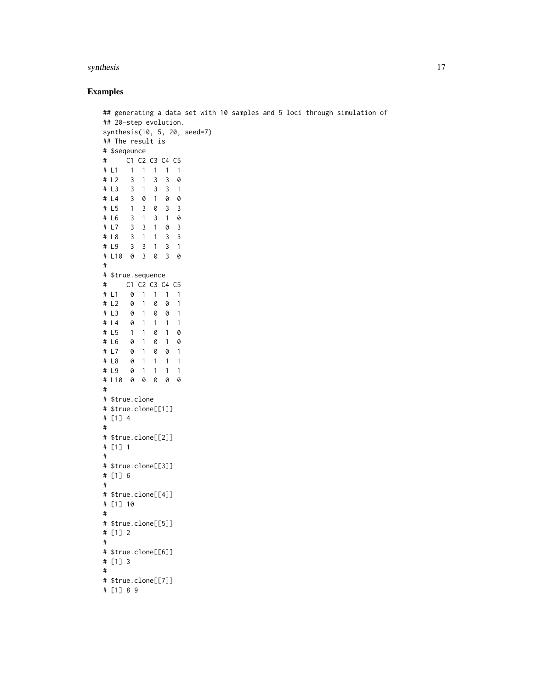#### synthesis and the synthesis of  $\frac{17}{2}$

#### Examples

```
## generating a data set with 10 samples and 5 loci through simulation of
## 20-step evolution.
synthesis(10, 5, 20, seed=7)
## The result is
# $seqeunce
# C1 C2 C3 C4 C5
# L1 1 1 1 1 1
# L2 3 1 3 3 0
# L3 3 1 3 3 1
# L4 3 0 1 0 0
# L5 1 3 0 3 3
# L6 3 1 3 1 0
# L7 3 3 1 0 3
# L8 3 1 1 3 3
# L9 3 3 1 3 1
# L10 0 3 0 3 0
#
# $true.sequence
# C1 C2 C3 C4 C5
# L1 0 1 1 1 1
# L2 0 1 0 0 1
# L3 0 1 0 0 1
# L4 0 1 1 1 1
# L5 1 1 0 1 0
# L6 0 1 0 1 0
# L7 0 1 0 0 1
# L8 0 1 1 1 1
# L9 0 1 1 1 1
# L10 0 0 0 0 0
#
# $true.clone
# $true.clone[[1]]
# [1] 4
#
# $true.clone[[2]]
# [1] 1
#
# $true.clone[[3]]
# [1] 6
#
# $true.clone[[4]]
# [1] 10
#
# $true.clone[[5]]
# [1] 2
#
# $true.clone[[6]]
# [1] 3
#
# $true.clone[[7]]
# [1] 8 9
```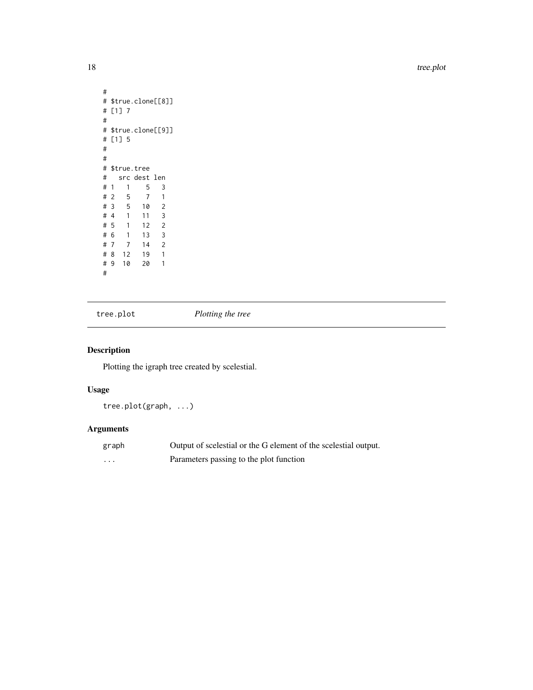<span id="page-17-0"></span>18 tree.plot

```
#
# $true.clone[[8]]
# [1] 7
#
# $true.clone[[9]]
# [1] 5
#
#
# $true.tree
# src dest len
\begin{array}{cccccc} #&1& &1& &5& &3\\ #&2& &5& &7& &1 \end{array}# 2 5# 3 5 10 2
# 4 1 11 3
# 5 1 12 2
# 6 1 13 3
         14 2
# 8 12 19 1
# 9 10 20 1
#
```
tree.plot *Plotting the tree*

#### Description

Plotting the igraph tree created by scelestial.

#### Usage

tree.plot(graph, ...)

| graph   | Output of scelestial or the G element of the scelestial output. |
|---------|-----------------------------------------------------------------|
| $\cdot$ | Parameters passing to the plot function                         |